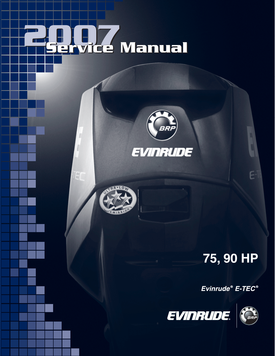





E

# 75, 90 HP

E

### Evinrude<sup>®</sup> E-TEC<sup>®</sup>

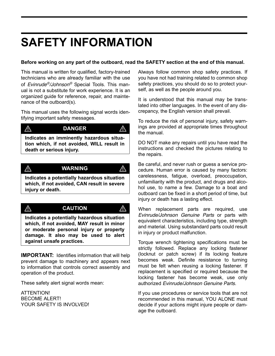# **SAFETY INFORMATION**

#### **Before working on any part of the outboard, read the SAFETY section at the end of this manual.**

Λ

This manual is written for qualified, factory-trained technicians who are already familiar with the use of *Evinrude®/Johnson®* Special Tools. This manual is not a substitute for work experience. It is an organized guide for reference, repair, and maintenance of the outboard(s).

This manual uses the following signal words identifying important safety messages.



**death or serious injury.**

#### Λ

**WARNING**

**Indicates a potentially hazardous situation which, if not avoided, CAN result in severe injury or death.**

#### Λ

### **CAUTION**

**Indicates a potentially hazardous situation which, if not avoided, MAY result in minor or moderate personal injury or property damage. It also may be used to alert against unsafe practices.**

**IMPORTANT:** Identifies information that will help prevent damage to machinery and appears next to information that controls correct assembly and operation of the product.

These safety alert signal words mean:

ATTENTION! BECOME ALERT! YOUR SAFETY IS INVOLVED! Always follow common shop safety practices. If you have not had training related to common shop safety practices, you should do so to protect yourself, as well as the people around you.

It is understood that this manual may be translated into other languages. In the event of any discrepancy, the English version shall prevail.

To reduce the risk of personal injury, safety warnings are provided at appropriate times throughout the manual.

DO NOT make any repairs until you have read the instructions and checked the pictures relating to the repairs.

Be careful, and never rush or guess a service procedure. Human error is caused by many factors: carelessness, fatigue, overload, preoccupation, unfamiliarity with the product, and drugs and alcohol use, to name a few. Damage to a boat and outboard can be fixed in a short period of time, but injury or death has a lasting effect.

When replacement parts are required, use *Evinrude/Johnson Genuine Parts* or parts with equivalent characteristics, including type, strength and material. Using substandard parts could result in injury or product malfunction.

Torque wrench tightening specifications must be strictly followed. Replace any locking fastener (locknut or patch screw) if its locking feature becomes weak. Definite resistance to turning must be felt when reusing a locking fastener. If replacement is specified or required because the locking fastener has become weak, use only authorized *Evinrude/Johnson Genuine Parts.*

If you use procedures or service tools that are not recommended in this manual, YOU ALONE must decide if your actions might injure people or damage the outboard.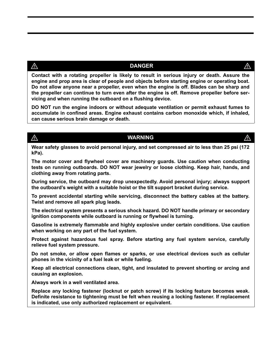#### **DANGER**

**Contact with a rotating propeller is likely to result in serious injury or death. Assure the engine and prop area is clear of people and objects before starting engine or operating boat. Do not allow anyone near a propeller, even when the engine is off. Blades can be sharp and the propeller can continue to turn even after the engine is off. Remove propeller before servicing and when running the outboard on a flushing device.**

**DO NOT run the engine indoors or without adequate ventilation or permit exhaust fumes to accumulate in confined areas. Engine exhaust contains carbon monoxide which, if inhaled, can cause serious brain damage or death.**

#### **WARNING**

**Wear safety glasses to avoid personal injury, and set compressed air to less than 25 psi (172 kPa).**

**The motor cover and flywheel cover are machinery guards. Use caution when conducting tests on running outboards. DO NOT wear jewelry or loose clothing. Keep hair, hands, and clothing away from rotating parts.**

**During service, the outboard may drop unexpectedly. Avoid personal injury; always support the outboard's weight with a suitable hoist or the tilt support bracket during service.**

**To prevent accidental starting while servicing, disconnect the battery cables at the battery. Twist and remove all spark plug leads.**

**The electrical system presents a serious shock hazard. DO NOT handle primary or secondary ignition components while outboard is running or flywheel is turning.**

**Gasoline is extremely flammable and highly explosive under certain conditions. Use caution when working on any part of the fuel system.**

**Protect against hazardous fuel spray. Before starting any fuel system service, carefully relieve fuel system pressure.**

**Do not smoke, or allow open flames or sparks, or use electrical devices such as cellular phones in the vicinity of a fuel leak or while fueling.**

**Keep all electrical connections clean, tight, and insulated to prevent shorting or arcing and causing an explosion.**

**Always work in a well ventilated area.**

**Replace any locking fastener (locknut or patch screw) if its locking feature becomes weak. Definite resistance to tightening must be felt when reusing a locking fastener. If replacement is indicated, use only authorized replacement or equivalent.**

#### Λ

Λ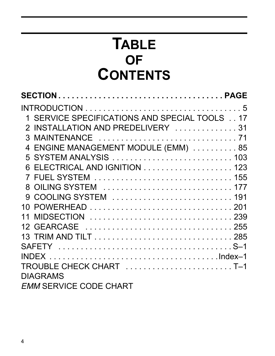# **TABLE OF CONTENTS**

| SERVICE SPECIFICATIONS AND SPECIAL TOOLS 17 |
|---------------------------------------------|
| INSTALLATION AND PREDELIVERY 31             |
| MAINTENANCE 71<br>$\mathcal{S}$             |
| ENGINE MANAGEMENT MODULE (EMM)  85          |
| 5 SYSTEM ANALYSIS  103                      |
| ELECTRICAL AND IGNITION 123                 |
|                                             |
| 8                                           |
|                                             |
| 10                                          |
| 11                                          |
|                                             |
|                                             |
|                                             |
|                                             |
|                                             |
| <b>DIAGRAMS</b>                             |
| <b>EMM SERVICE CODE CHART</b>               |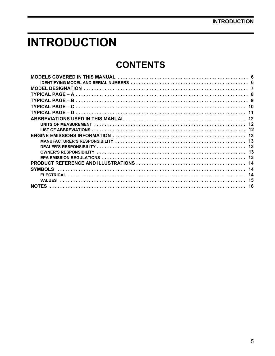## **INTRODUCTION**

## **CONTENTS**

| TYPICAL PAGE – A $\ldots$ , $\ldots$ , $\ldots$ , $\ldots$ , $\ldots$ , $\ldots$ , $\ldots$ , $\ldots$ , $\ldots$ , $\ldots$ , $\ldots$ , $\ldots$ , $\ldots$ , $\ldots$ |
|--------------------------------------------------------------------------------------------------------------------------------------------------------------------------|
|                                                                                                                                                                          |
|                                                                                                                                                                          |
|                                                                                                                                                                          |
|                                                                                                                                                                          |
|                                                                                                                                                                          |
|                                                                                                                                                                          |
|                                                                                                                                                                          |
|                                                                                                                                                                          |
|                                                                                                                                                                          |
|                                                                                                                                                                          |
|                                                                                                                                                                          |
|                                                                                                                                                                          |
| <b>SYMBOLS</b>                                                                                                                                                           |
|                                                                                                                                                                          |
| <b>VALUES</b>                                                                                                                                                            |
| <b>NOTES</b>                                                                                                                                                             |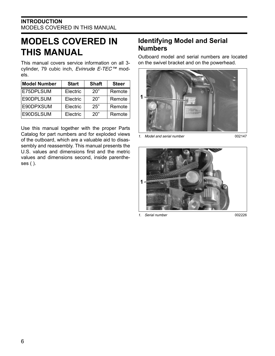## **MODELS COVERED IN THIS MANUAL**

This manual covers service information on all 3 cylinder, 79 cubic inch, *Evinrude E-TEC™* models.

| <b>Model Number</b> | <b>Start</b> | <b>Shaft</b> | <b>Steer</b> |
|---------------------|--------------|--------------|--------------|
| E75DPLSUM           | Electric     | 20"          | Remote       |
| E90DPLSUM           | Electric     | 20"          | Remote       |
| E90DPXSUM           | Electric     | 25"          | Remote       |
| E90DSLSUM           | Electric     | 20"          | Remote       |

Use this manual together with the proper Parts Catalog for part numbers and for exploded views of the outboard, which are a valuable aid to disassembly and reassembly. This manual presents the U.S. values and dimensions first and the metric values and dimensions second, inside parentheses ( ).

### **Identifying Model and Serial Numbers**

Outboard model and serial numbers are located on the swivel bracket and on the powerhead.



1. Model and serial number **1. 1. Model** and serial number



*1. Serial number* 002226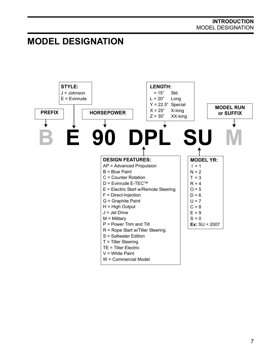### **MODEL DESIGNATION**